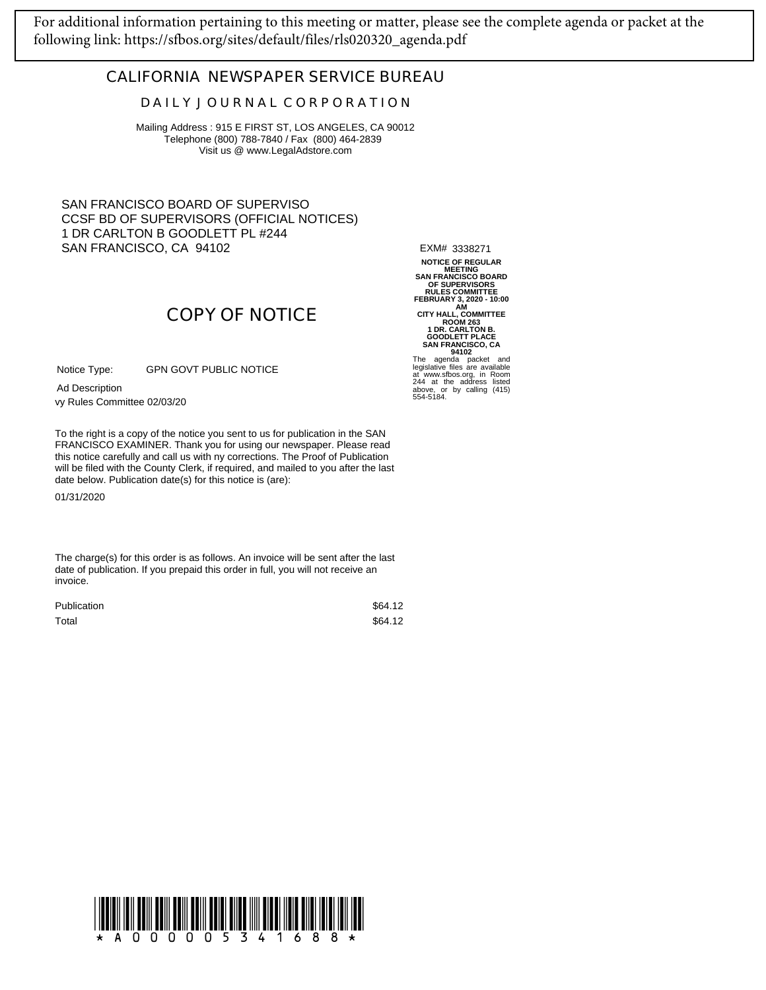[For additional information pertaining to this meeting or matter, please see the complete agenda or packet at the](https://sfbos.org/sites/default/files/rls020320_agenda.pdf)  following link: https://sfbos.org/sites/default/files/rls020320\_agenda.pdf

## **CALIFORNIA NEWSPAPER SERVICE BUREAU**

## **D A I L Y J O U R N A L C O R P O R A T I O N**

Mailing Address : 915 E FIRST ST, LOS ANGELES, CA 90012 Telephone (800) 788-7840 / Fax (800) 464-2839 Visit us @ www.LegalAdstore.com

SAN FRANCISCO BOARD OF SUPERVISO CCSF BD OF SUPERVISORS (OFFICIAL NOTICES) 1 DR CARLTON B GOODLETT PL #244 SAN FRANCISCO, CA 94102

EXM# 3338271

NOTICE OF REGULAR<br>
SAN FRANCISCO BOARD<br>
OF SUPERVISORS<br>
OF SUPERVISORS<br>
FEBRUARY 3, 2020 - 10:00<br>
CITY HALL, COMMITTEE<br>
ROOM 263<br>
1 DR. CARLTON B.<br>
GOODLETT PLACE<br>
SAN FRANCISCO, CA<br>
94102<br>
The agenda packet and<br>
agenda pa

## 244 at the address listed above, or by calling (415) 554-5184.

GPN GOVT PUBLIC NOTICE Notice Type:

vy Rules Committee 02/03/20 Ad Description

FRANCISCO EXAMINER. Thank you for using our newspaper. Please read<br>this notice carefully and call us with ny corrections. The Proof of Publication To the right is a copy of the notice you sent to us for publication in the SAN FRANCISCO EXAMINER. Thank you for using our newspaper. Please read will be filed with the County Clerk, if required, and mailed to you after the last date below. Publication date(s) for this notice is (are):

**COPY OF NOTICE**

01/31/2020

The charge(s) for this order is as follows. An invoice will be sent after the last date of publication. If you prepaid this order in full, you will not receive an invoice.

| <b>Publication</b> | \$64.12 |
|--------------------|---------|
| Total              | \$64.12 |